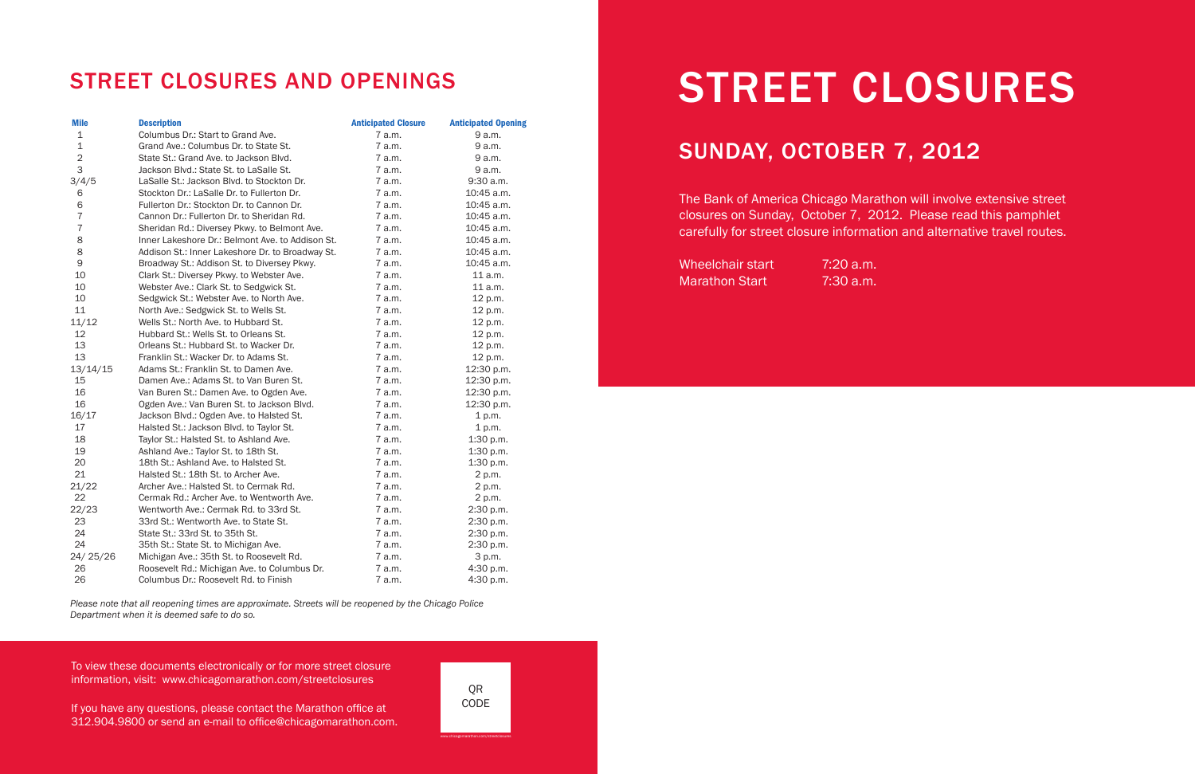STREET CLOSURES

# SUNDAY, OCTOBER 7, 2012

The Bank of America Chicago Marathon will involve extensive street closures on Sunday, October 7, 2012. Please read this pamphlet carefully for street closure information and alternative travel routes.

Wheelchair start 7:20 a.m. Marathon Start 7:30 a.m.

To view these documents electronically or for more street closure information, visit: www.chicagomarathon.com/streetclosures

If you have any questions, please contact the Marathon office at 312.904.9800 or send an e-mail to office@chicagomarathon.com.

# STREET CLOSURES AND OPENINGS

| <b>Mile</b>    | <b>Description</b>                               | <b>Anticipated Closure</b> | <b>Anticipated Opening</b> |
|----------------|--------------------------------------------------|----------------------------|----------------------------|
| $\mathbf 1$    | Columbus Dr.: Start to Grand Ave.                | 7 a.m.                     | 9 a.m.                     |
| $\mathbf 1$    | Grand Ave.: Columbus Dr. to State St.            | 7 a.m.                     | 9 a.m.                     |
| $\overline{2}$ | State St.: Grand Ave. to Jackson Blvd.           | 7 a.m.                     | 9 a.m.                     |
| 3              | Jackson Blvd.: State St. to LaSalle St.          | 7 a.m.                     | 9 a.m.                     |
| 3/4/5          | LaSalle St.: Jackson Blvd. to Stockton Dr.       | 7 a.m.                     | 9:30 a.m.                  |
| 6              | Stockton Dr.: LaSalle Dr. to Fullerton Dr.       | 7 a.m.                     | 10:45 a.m.                 |
| 6              | Fullerton Dr.: Stockton Dr. to Cannon Dr.        | 7 a.m.                     | 10:45 a.m.                 |
| $\overline{7}$ | Cannon Dr.: Fullerton Dr. to Sheridan Rd.        | 7 a.m.                     | 10:45 a.m.                 |
| $\overline{7}$ | Sheridan Rd.: Diversey Pkwy. to Belmont Ave.     | 7 a.m.                     | 10:45 a.m.                 |
| 8              | Inner Lakeshore Dr.: Belmont Ave. to Addison St. | 7 a.m.                     | 10:45 a.m.                 |
| 8              | Addison St.: Inner Lakeshore Dr. to Broadway St. | 7 a.m.                     | 10:45 a.m.                 |
| 9              | Broadway St.: Addison St. to Diversey Pkwy.      | 7 a.m.                     | 10:45 a.m.                 |
| 10             | Clark St.: Diversey Pkwy. to Webster Ave.        | 7 a.m.                     | 11 a.m.                    |
| 10             | Webster Ave.: Clark St. to Sedgwick St.          | 7 a.m.                     | 11 a.m.                    |
| 10             | Sedgwick St.: Webster Ave. to North Ave.         | 7 a.m.                     | 12 p.m.                    |
| 11             | North Ave.: Sedgwick St. to Wells St.            | 7 a.m.                     | 12 p.m.                    |
| 11/12          | Wells St.: North Ave. to Hubbard St.             | 7 a.m.                     | 12 p.m.                    |
| 12             | Hubbard St.: Wells St. to Orleans St.            | 7 a.m.                     | 12 p.m.                    |
| 13             | Orleans St.: Hubbard St. to Wacker Dr.           | 7 a.m.                     | 12 p.m.                    |
| 13             | Franklin St.: Wacker Dr. to Adams St.            | 7 a.m.                     | 12 p.m.                    |
| 13/14/15       | Adams St.: Franklin St. to Damen Ave.            | 7 a.m.                     | 12:30 p.m.                 |
| 15             | Damen Ave.: Adams St. to Van Buren St.           | 7 a.m.                     | 12:30 p.m.                 |
| 16             | Van Buren St.: Damen Ave. to Ogden Ave.          | 7 a.m.                     | 12:30 p.m.                 |
| 16             | Ogden Ave.: Van Buren St. to Jackson Blvd.       | 7 a.m.                     | 12:30 p.m.                 |
| 16/17          | Jackson Blvd.: Ogden Ave. to Halsted St.         | 7 a.m.                     | 1 p.m.                     |
| 17             | Halsted St.: Jackson Blvd. to Taylor St.         | 7 a.m.                     | 1 p.m.                     |
| 18             | Taylor St.: Halsted St. to Ashland Ave.          | 7 a.m.                     | 1:30 p.m.                  |
| 19             | Ashland Ave.: Taylor St. to 18th St.             | 7 a.m.                     | 1:30 p.m.                  |
| 20             | 18th St.: Ashland Ave. to Halsted St.            | 7 a.m.                     | 1:30 p.m.                  |
| 21             | Halsted St.: 18th St. to Archer Ave.             | 7 a.m.                     | 2 p.m.                     |
| 21/22          | Archer Ave.: Halsted St. to Cermak Rd.           | 7 a.m.                     | 2 p.m.                     |
| 22             | Cermak Rd.: Archer Ave. to Wentworth Ave.        | 7 a.m.                     | 2 p.m.                     |
| 22/23          | Wentworth Ave.: Cermak Rd. to 33rd St.           | 7 a.m.                     | 2:30 p.m.                  |
| 23             | 33rd St.: Wentworth Ave. to State St.            | 7 a.m.                     | 2:30 p.m.                  |
| 24             | State St.: 33rd St. to 35th St.                  | 7 a.m.                     | 2:30 p.m.                  |
| 24             | 35th St.: State St. to Michigan Ave.             | 7 a.m.                     | 2:30 p.m.                  |
| 24/25/26       | Michigan Ave.: 35th St. to Roosevelt Rd.         | 7 a.m.                     | 3 p.m.                     |
| 26             | Roosevelt Rd.: Michigan Ave. to Columbus Dr.     | 7 a.m.                     | 4:30 p.m.                  |
| 26             | Columbus Dr.: Roosevelt Rd. to Finish            | 7 a.m.                     | 4:30 p.m.                  |

*Please note that all reopening times are approximate. Streets will be reopened by the Chicago Police Department when it is deemed safe to do so.*